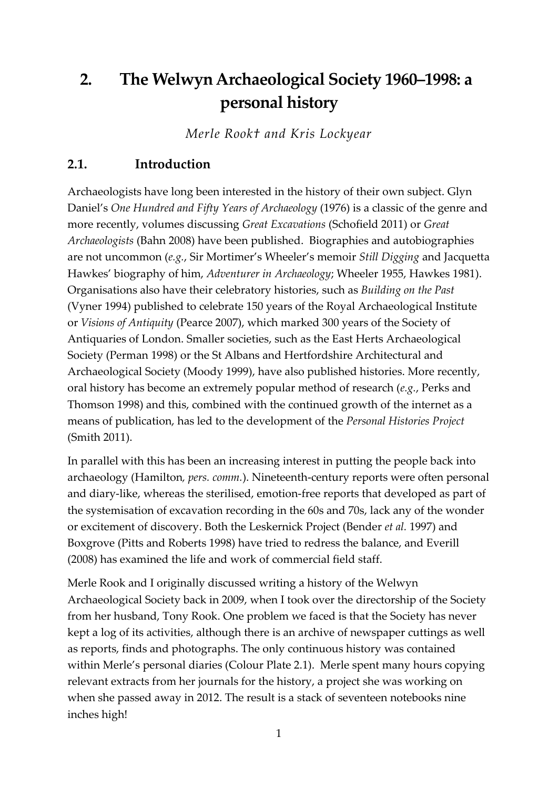# **2. The Welwyn Archaeological Society 1960–1998: a personal history**

*Merle Rook† and Kris Lockyear*

# **2.1. Introduction**

Archaeologists have long been interested in the history of their own subject. Glyn Daniel's *One Hundred and Fifty Years of Archaeology* (1976) is a classic of the genre and more recently, volumes discussing *Great Excavations* (Schofield 2011) or *Great Archaeologists* (Bahn 2008) have been published. Biographies and autobiographies are not uncommon (*e.g.*, Sir Mortimer's Wheeler's memoir *Still Digging* and Jacquetta Hawkes' biography of him, *Adventurer in Archaeology*; Wheeler 1955, Hawkes 1981). Organisations also have their celebratory histories, such as *Building on the Past* (Vyner 1994) published to celebrate 150 years of the Royal Archaeological Institute or *Visions of Antiquity* (Pearce 2007), which marked 300 years of the Society of Antiquaries of London. Smaller societies, such as the East Herts Archaeological Society (Perman 1998) or the St Albans and Hertfordshire Architectural and Archaeological Society (Moody 1999), have also published histories. More recently, oral history has become an extremely popular method of research (*e.g.*, Perks and Thomson 1998) and this, combined with the continued growth of the internet as a means of publication, has led to the development of the *Personal Histories Project* (Smith 2011).

In parallel with this has been an increasing interest in putting the people back into archaeology (Hamilton*, pers. comm.*). Nineteenth-century reports were often personal and diary-like, whereas the sterilised, emotion-free reports that developed as part of the systemisation of excavation recording in the 60s and 70s, lack any of the wonder or excitement of discovery. Both the Leskernick Project (Bender *et al.* 1997) and Boxgrove (Pitts and Roberts 1998) have tried to redress the balance, and Everill (2008) has examined the life and work of commercial field staff.

Merle Rook and I originally discussed writing a history of the Welwyn Archaeological Society back in 2009, when I took over the directorship of the Society from her husband, Tony Rook. One problem we faced is that the Society has never kept a log of its activities, although there is an archive of newspaper cuttings as well as reports, finds and photographs. The only continuous history was contained within Merle's personal diaries (Colour Plate 2.1). Merle spent many hours copying relevant extracts from her journals for the history, a project she was working on when she passed away in 2012. The result is a stack of seventeen notebooks nine inches high!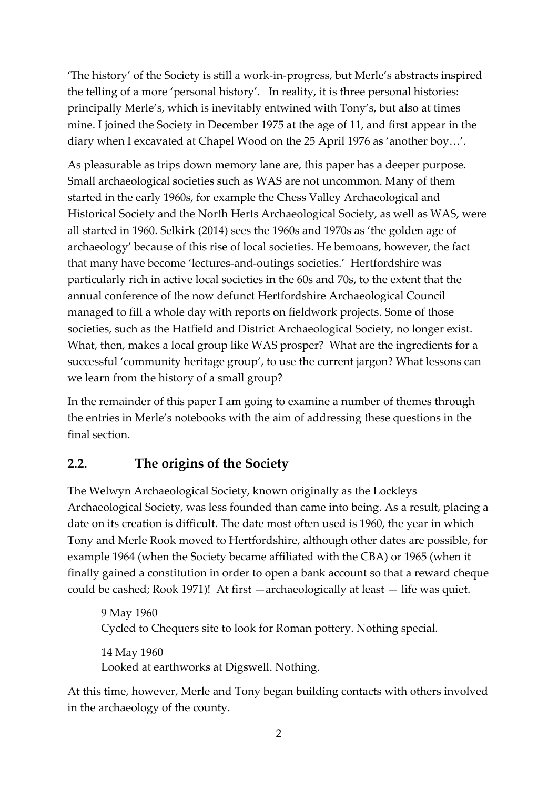'The history' of the Society is still a work-in-progress, but Merle's abstracts inspired the telling of a more 'personal history'. In reality, it is three personal histories: principally Merle's, which is inevitably entwined with Tony's, but also at times mine. I joined the Society in December 1975 at the age of 11, and first appear in the diary when I excavated at Chapel Wood on the 25 April 1976 as 'another boy…'.

As pleasurable as trips down memory lane are, this paper has a deeper purpose. Small archaeological societies such as WAS are not uncommon. Many of them started in the early 1960s, for example the Chess Valley Archaeological and Historical Society and the North Herts Archaeological Society, as well as WAS, were all started in 1960. Selkirk (2014) sees the 1960s and 1970s as 'the golden age of archaeology' because of this rise of local societies. He bemoans, however, the fact that many have become 'lectures-and-outings societies.' Hertfordshire was particularly rich in active local societies in the 60s and 70s, to the extent that the annual conference of the now defunct Hertfordshire Archaeological Council managed to fill a whole day with reports on fieldwork projects. Some of those societies, such as the Hatfield and District Archaeological Society, no longer exist. What, then, makes a local group like WAS prosper? What are the ingredients for a successful 'community heritage group', to use the current jargon? What lessons can we learn from the history of a small group?

In the remainder of this paper I am going to examine a number of themes through the entries in Merle's notebooks with the aim of addressing these questions in the final section.

# **2.2. The origins of the Society**

The Welwyn Archaeological Society, known originally as the Lockleys Archaeological Society, was less founded than came into being. As a result, placing a date on its creation is difficult. The date most often used is 1960, the year in which Tony and Merle Rook moved to Hertfordshire, although other dates are possible, for example 1964 (when the Society became affiliated with the CBA) or 1965 (when it finally gained a constitution in order to open a bank account so that a reward cheque could be cashed; Rook 1971)! At first —archaeologically at least — life was quiet.

9 May 1960 Cycled to Chequers site to look for Roman pottery. Nothing special. 14 May 1960 Looked at earthworks at Digswell. Nothing.

At this time, however, Merle and Tony began building contacts with others involved in the archaeology of the county.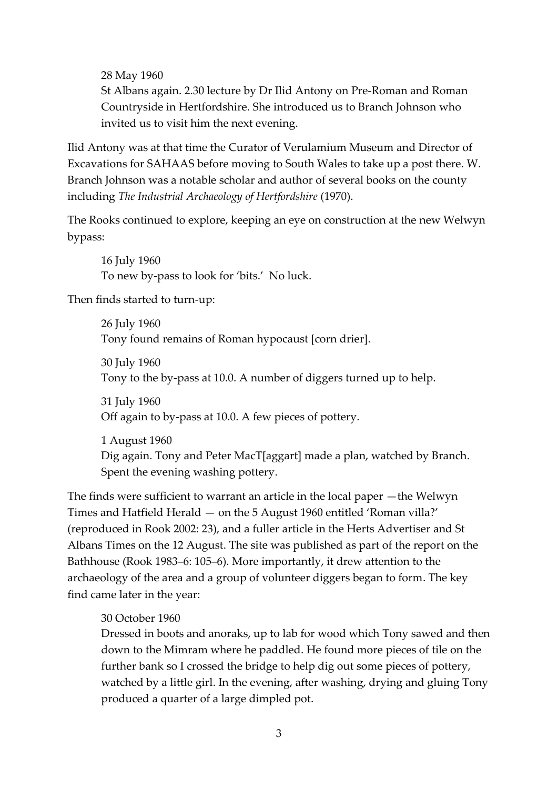28 May 1960

St Albans again. 2.30 lecture by Dr Ilid Antony on Pre-Roman and Roman Countryside in Hertfordshire. She introduced us to Branch Johnson who invited us to visit him the next evening.

Ilid Antony was at that time the Curator of Verulamium Museum and Director of Excavations for SAHAAS before moving to South Wales to take up a post there. W. Branch Johnson was a notable scholar and author of several books on the county including *The Industrial Archaeology of Hertfordshire* (1970).

The Rooks continued to explore, keeping an eye on construction at the new Welwyn bypass:

16 July 1960 To new by-pass to look for 'bits.' No luck.

Then finds started to turn-up:

26 July 1960 Tony found remains of Roman hypocaust [corn drier].

30 July 1960 Tony to the by-pass at 10.0. A number of diggers turned up to help.

31 July 1960 Off again to by-pass at 10.0. A few pieces of pottery.

1 August 1960 Dig again. Tony and Peter MacT[aggart] made a plan, watched by Branch. Spent the evening washing pottery.

The finds were sufficient to warrant an article in the local paper —the Welwyn Times and Hatfield Herald — on the 5 August 1960 entitled 'Roman villa?' (reproduced in Rook 2002: 23), and a fuller article in the Herts Advertiser and St Albans Times on the 12 August. The site was published as part of the report on the Bathhouse (Rook 1983–6: 105–6). More importantly, it drew attention to the archaeology of the area and a group of volunteer diggers began to form. The key find came later in the year:

# 30 October 1960

Dressed in boots and anoraks, up to lab for wood which Tony sawed and then down to the Mimram where he paddled. He found more pieces of tile on the further bank so I crossed the bridge to help dig out some pieces of pottery, watched by a little girl. In the evening, after washing, drying and gluing Tony produced a quarter of a large dimpled pot.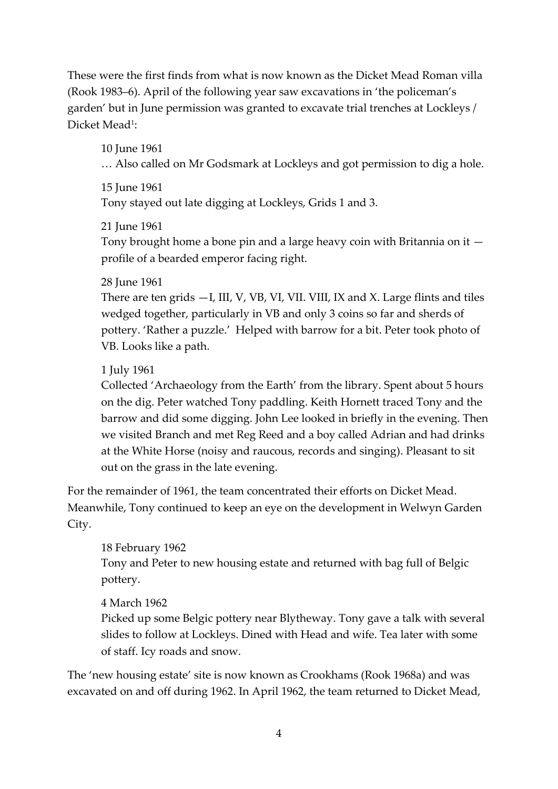These were the first finds from what is now known as the Dicket Mead Roman villa (Rook 1983‒6). April of the following year saw excavations in 'the policeman's garden' but in June permission was granted to excavate trial trenches at Lockleys / Dicket Mead<sup>1</sup>:

10 June 1961 … Also called on Mr Godsmark at Lockleys and got permission to dig a hole.

15 June 1961 Tony stayed out late digging at Lockleys, Grids 1 and 3.

21 June 1961 Tony brought home a bone pin and a large heavy coin with Britannia on it profile of a bearded emperor facing right.

#### 28 June 1961

There are ten grids  $-I$ , III, V, VB, VI, VII. VIII, IX and X. Large flints and tiles wedged together, particularly in VB and only 3 coins so far and sherds of pottery. 'Rather a puzzle.' Helped with barrow for a bit. Peter took photo of VB. Looks like a path.

# 1 July 1961

Collected 'Archaeology from the Earth' from the library. Spent about 5 hours on the dig. Peter watched Tony paddling. Keith Hornett traced Tony and the barrow and did some digging. John Lee looked in briefly in the evening. Then we visited Branch and met Reg Reed and a boy called Adrian and had drinks at the White Horse (noisy and raucous, records and singing). Pleasant to sit out on the grass in the late evening.

For the remainder of 1961, the team concentrated their efforts on Dicket Mead. Meanwhile, Tony continued to keep an eye on the development in Welwyn Garden City.

# 18 February 1962

Tony and Peter to new housing estate and returned with bag full of Belgic pottery.

# 4 March 1962

Picked up some Belgic pottery near Blytheway. Tony gave a talk with several slides to follow at Lockleys. Dined with Head and wife. Tea later with some of staff. Icy roads and snow.

The 'new housing estate' site is now known as Crookhams (Rook 1968a) and was excavated on and off during 1962. In April 1962, the team returned to Dicket Mead,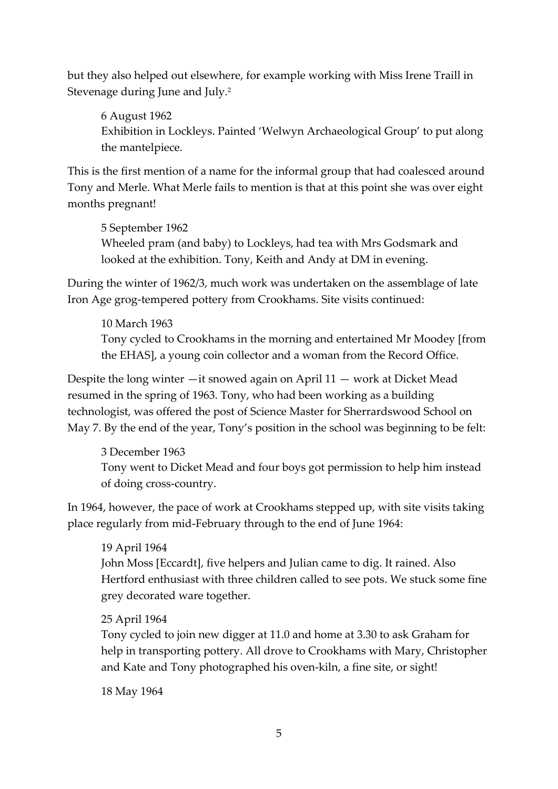but they also helped out elsewhere, for example working with Miss Irene Traill in Stevenage during June and July.<sup>2</sup>

6 August 1962 Exhibition in Lockleys. Painted 'Welwyn Archaeological Group' to put along the mantelpiece.

This is the first mention of a name for the informal group that had coalesced around Tony and Merle. What Merle fails to mention is that at this point she was over eight months pregnant!

5 September 1962 Wheeled pram (and baby) to Lockleys, had tea with Mrs Godsmark and looked at the exhibition. Tony, Keith and Andy at DM in evening.

During the winter of 1962/3, much work was undertaken on the assemblage of late Iron Age grog-tempered pottery from Crookhams. Site visits continued:

10 March 1963 Tony cycled to Crookhams in the morning and entertained Mr Moodey [from the EHAS], a young coin collector and a woman from the Record Office.

Despite the long winter —it snowed again on April 11 — work at Dicket Mead resumed in the spring of 1963. Tony, who had been working as a building technologist, was offered the post of Science Master for Sherrardswood School on May 7. By the end of the year, Tony's position in the school was beginning to be felt:

3 December 1963 Tony went to Dicket Mead and four boys got permission to help him instead of doing cross-country.

In 1964, however, the pace of work at Crookhams stepped up, with site visits taking place regularly from mid-February through to the end of June 1964:

19 April 1964 John Moss [Eccardt], five helpers and Julian came to dig. It rained. Also Hertford enthusiast with three children called to see pots. We stuck some fine grey decorated ware together.

# 25 April 1964

Tony cycled to join new digger at 11.0 and home at 3.30 to ask Graham for help in transporting pottery. All drove to Crookhams with Mary, Christopher and Kate and Tony photographed his oven-kiln, a fine site, or sight!

18 May 1964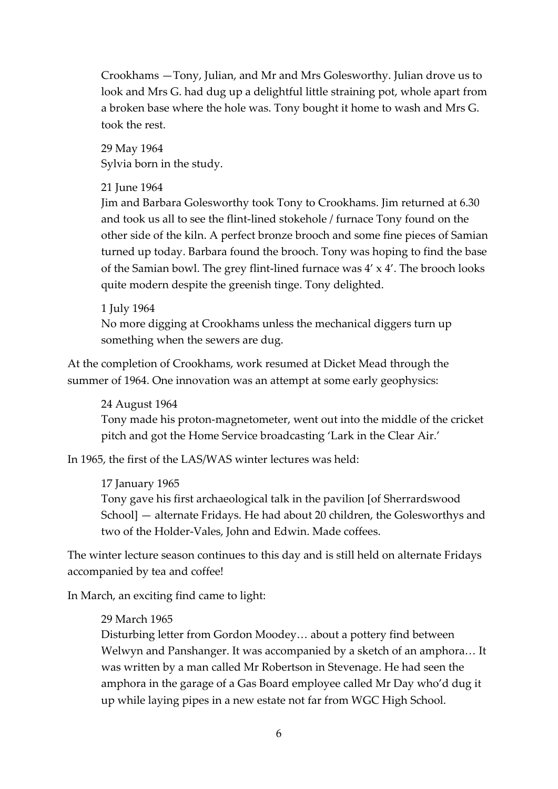Crookhams —Tony, Julian, and Mr and Mrs Golesworthy. Julian drove us to look and Mrs G. had dug up a delightful little straining pot, whole apart from a broken base where the hole was. Tony bought it home to wash and Mrs G. took the rest.

29 May 1964 Sylvia born in the study.

#### 21 June 1964

Jim and Barbara Golesworthy took Tony to Crookhams. Jim returned at 6.30 and took us all to see the flint-lined stokehole / furnace Tony found on the other side of the kiln. A perfect bronze brooch and some fine pieces of Samian turned up today. Barbara found the brooch. Tony was hoping to find the base of the Samian bowl. The grey flint-lined furnace was 4' x 4'. The brooch looks quite modern despite the greenish tinge. Tony delighted.

#### 1 July 1964

No more digging at Crookhams unless the mechanical diggers turn up something when the sewers are dug.

At the completion of Crookhams, work resumed at Dicket Mead through the summer of 1964. One innovation was an attempt at some early geophysics:

#### 24 August 1964

Tony made his proton-magnetometer, went out into the middle of the cricket pitch and got the Home Service broadcasting 'Lark in the Clear Air.'

In 1965, the first of the LAS/WAS winter lectures was held:

#### 17 January 1965

Tony gave his first archaeological talk in the pavilion [of Sherrardswood School] — alternate Fridays. He had about 20 children, the Golesworthys and two of the Holder-Vales, John and Edwin. Made coffees.

The winter lecture season continues to this day and is still held on alternate Fridays accompanied by tea and coffee!

In March, an exciting find came to light:

#### 29 March 1965

Disturbing letter from Gordon Moodey… about a pottery find between Welwyn and Panshanger. It was accompanied by a sketch of an amphora… It was written by a man called Mr Robertson in Stevenage. He had seen the amphora in the garage of a Gas Board employee called Mr Day who'd dug it up while laying pipes in a new estate not far from WGC High School.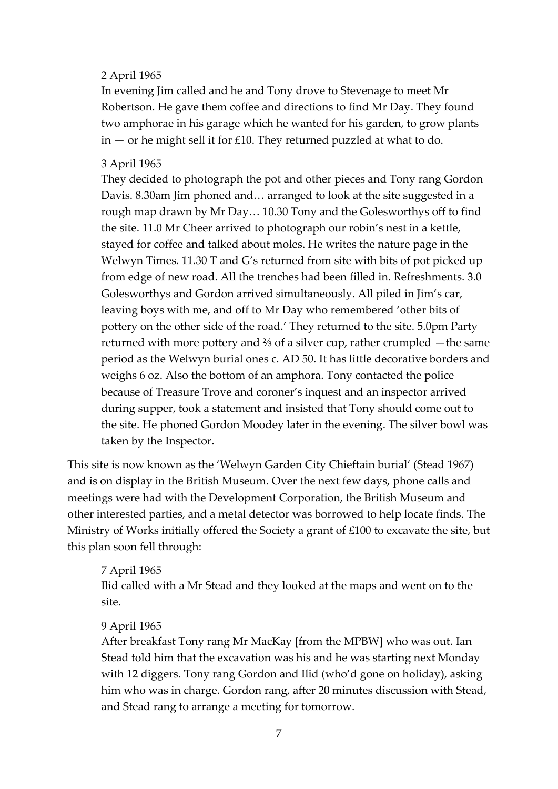#### 2 April 1965

In evening Jim called and he and Tony drove to Stevenage to meet Mr Robertson. He gave them coffee and directions to find Mr Day. They found two amphorae in his garage which he wanted for his garden, to grow plants  $in -$  or he might sell it for £10. They returned puzzled at what to do.

#### 3 April 1965

They decided to photograph the pot and other pieces and Tony rang Gordon Davis. 8.30am Jim phoned and… arranged to look at the site suggested in a rough map drawn by Mr Day… 10.30 Tony and the Golesworthys off to find the site. 11.0 Mr Cheer arrived to photograph our robin's nest in a kettle, stayed for coffee and talked about moles. He writes the nature page in the Welwyn Times. 11.30 T and G's returned from site with bits of pot picked up from edge of new road. All the trenches had been filled in. Refreshments. 3.0 Golesworthys and Gordon arrived simultaneously. All piled in Jim's car, leaving boys with me, and off to Mr Day who remembered 'other bits of pottery on the other side of the road.' They returned to the site. 5.0pm Party returned with more pottery and ⅔ of a silver cup, rather crumpled —the same period as the Welwyn burial ones c. AD 50. It has little decorative borders and weighs 6 oz. Also the bottom of an amphora. Tony contacted the police because of Treasure Trove and coroner's inquest and an inspector arrived during supper, took a statement and insisted that Tony should come out to the site. He phoned Gordon Moodey later in the evening. The silver bowl was taken by the Inspector.

This site is now known as the 'Welwyn Garden City Chieftain burial' (Stead 1967) and is on display in the British Museum. Over the next few days, phone calls and meetings were had with the Development Corporation, the British Museum and other interested parties, and a metal detector was borrowed to help locate finds. The Ministry of Works initially offered the Society a grant of £100 to excavate the site, but this plan soon fell through:

#### 7 April 1965

Ilid called with a Mr Stead and they looked at the maps and went on to the site.

#### 9 April 1965

After breakfast Tony rang Mr MacKay [from the MPBW] who was out. Ian Stead told him that the excavation was his and he was starting next Monday with 12 diggers. Tony rang Gordon and Ilid (who'd gone on holiday), asking him who was in charge. Gordon rang, after 20 minutes discussion with Stead, and Stead rang to arrange a meeting for tomorrow.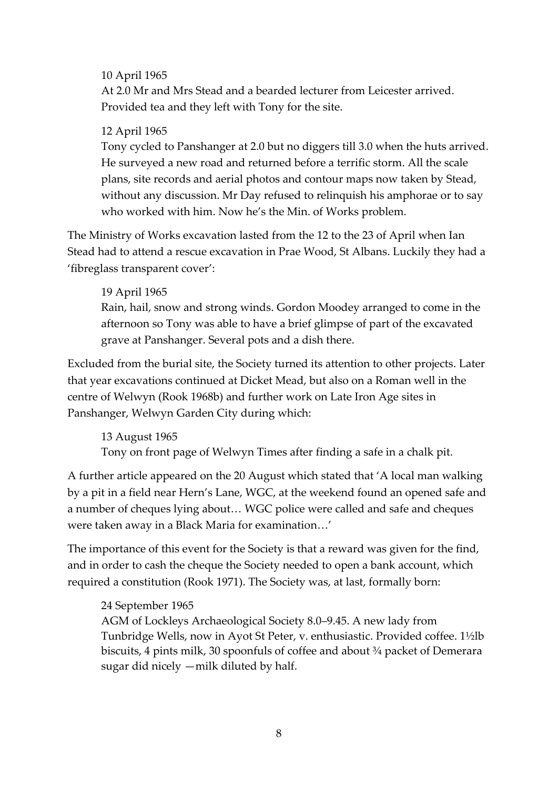#### 10 April 1965

At 2.0 Mr and Mrs Stead and a bearded lecturer from Leicester arrived. Provided tea and they left with Tony for the site.

#### 12 April 1965

Tony cycled to Panshanger at 2.0 but no diggers till 3.0 when the huts arrived. He surveyed a new road and returned before a terrific storm. All the scale plans, site records and aerial photos and contour maps now taken by Stead, without any discussion. Mr Day refused to relinquish his amphorae or to say who worked with him. Now he's the Min. of Works problem.

The Ministry of Works excavation lasted from the 12 to the 23 of April when Ian Stead had to attend a rescue excavation in Prae Wood, St Albans. Luckily they had a 'fibreglass transparent cover':

#### 19 April 1965

Rain, hail, snow and strong winds. Gordon Moodey arranged to come in the afternoon so Tony was able to have a brief glimpse of part of the excavated grave at Panshanger. Several pots and a dish there.

Excluded from the burial site, the Society turned its attention to other projects. Later that year excavations continued at Dicket Mead, but also on a Roman well in the centre of Welwyn (Rook 1968b) and further work on Late Iron Age sites in Panshanger, Welwyn Garden City during which:

13 August 1965 Tony on front page of Welwyn Times after finding a safe in a chalk pit.

A further article appeared on the 20 August which stated that 'A local man walking by a pit in a field near Hern's Lane, WGC, at the weekend found an opened safe and a number of cheques lying about… WGC police were called and safe and cheques were taken away in a Black Maria for examination…'

The importance of this event for the Society is that a reward was given for the find, and in order to cash the cheque the Society needed to open a bank account, which required a constitution (Rook 1971). The Society was, at last, formally born:

# 24 September 1965

AGM of Lockleys Archaeological Society 8.0–9.45. A new lady from Tunbridge Wells, now in Ayot St Peter, v. enthusiastic. Provided coffee. 1½lb biscuits, 4 pints milk, 30 spoonfuls of coffee and about ¾ packet of Demerara sugar did nicely —milk diluted by half.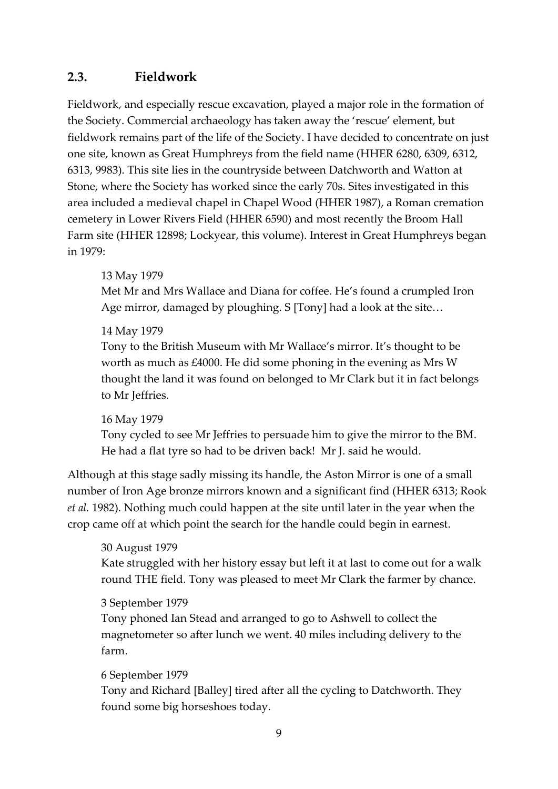# **2.3. Fieldwork**

Fieldwork, and especially rescue excavation, played a major role in the formation of the Society. Commercial archaeology has taken away the 'rescue' element, but fieldwork remains part of the life of the Society. I have decided to concentrate on just one site, known as Great Humphreys from the field name (HHER 6280, 6309, 6312, 6313, 9983). This site lies in the countryside between Datchworth and Watton at Stone, where the Society has worked since the early 70s. Sites investigated in this area included a medieval chapel in Chapel Wood (HHER 1987), a Roman cremation cemetery in Lower Rivers Field (HHER 6590) and most recently the Broom Hall Farm site (HHER 12898; Lockyear, this volume). Interest in Great Humphreys began in 1979:

# 13 May 1979

Met Mr and Mrs Wallace and Diana for coffee. He's found a crumpled Iron Age mirror, damaged by ploughing. S [Tony] had a look at the site…

# 14 May 1979

Tony to the British Museum with Mr Wallace's mirror. It's thought to be worth as much as £4000. He did some phoning in the evening as Mrs W thought the land it was found on belonged to Mr Clark but it in fact belongs to Mr Jeffries.

# 16 May 1979

Tony cycled to see Mr Jeffries to persuade him to give the mirror to the BM. He had a flat tyre so had to be driven back! Mr J. said he would.

Although at this stage sadly missing its handle, the Aston Mirror is one of a small number of Iron Age bronze mirrors known and a significant find (HHER 6313; Rook *et al.* 1982). Nothing much could happen at the site until later in the year when the crop came off at which point the search for the handle could begin in earnest.

# 30 August 1979

Kate struggled with her history essay but left it at last to come out for a walk round THE field. Tony was pleased to meet Mr Clark the farmer by chance.

# 3 September 1979

Tony phoned Ian Stead and arranged to go to Ashwell to collect the magnetometer so after lunch we went. 40 miles including delivery to the farm.

#### 6 September 1979

Tony and Richard [Balley] tired after all the cycling to Datchworth. They found some big horseshoes today.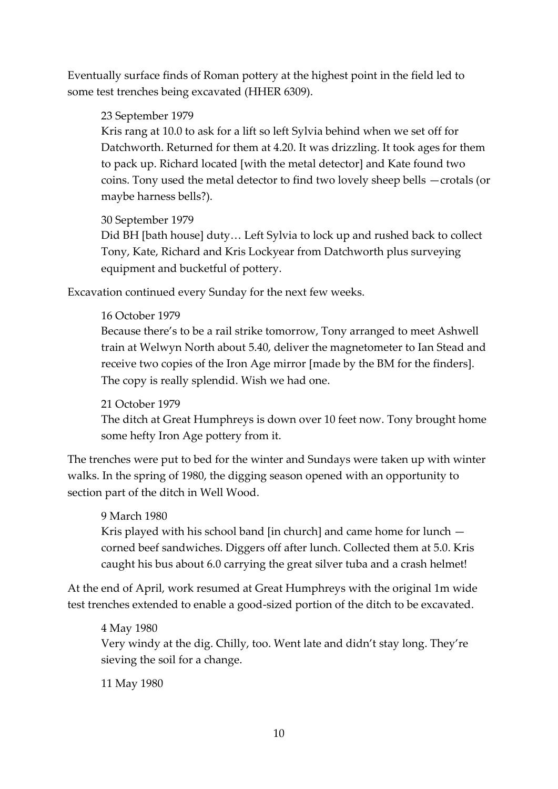Eventually surface finds of Roman pottery at the highest point in the field led to some test trenches being excavated (HHER 6309).

#### 23 September 1979

Kris rang at 10.0 to ask for a lift so left Sylvia behind when we set off for Datchworth. Returned for them at 4.20. It was drizzling. It took ages for them to pack up. Richard located [with the metal detector] and Kate found two coins. Tony used the metal detector to find two lovely sheep bells —crotals (or maybe harness bells?).

#### 30 September 1979

Did BH [bath house] duty… Left Sylvia to lock up and rushed back to collect Tony, Kate, Richard and Kris Lockyear from Datchworth plus surveying equipment and bucketful of pottery.

Excavation continued every Sunday for the next few weeks.

#### 16 October 1979

Because there's to be a rail strike tomorrow, Tony arranged to meet Ashwell train at Welwyn North about 5.40, deliver the magnetometer to Ian Stead and receive two copies of the Iron Age mirror [made by the BM for the finders]. The copy is really splendid. Wish we had one.

# 21 October 1979

The ditch at Great Humphreys is down over 10 feet now. Tony brought home some hefty Iron Age pottery from it.

The trenches were put to bed for the winter and Sundays were taken up with winter walks. In the spring of 1980, the digging season opened with an opportunity to section part of the ditch in Well Wood.

# 9 March 1980 Kris played with his school band [in church] and came home for lunch corned beef sandwiches. Diggers off after lunch. Collected them at 5.0. Kris caught his bus about 6.0 carrying the great silver tuba and a crash helmet!

At the end of April, work resumed at Great Humphreys with the original 1m wide test trenches extended to enable a good-sized portion of the ditch to be excavated.

# 4 May 1980 Very windy at the dig. Chilly, too. Went late and didn't stay long. They're sieving the soil for a change.

11 May 1980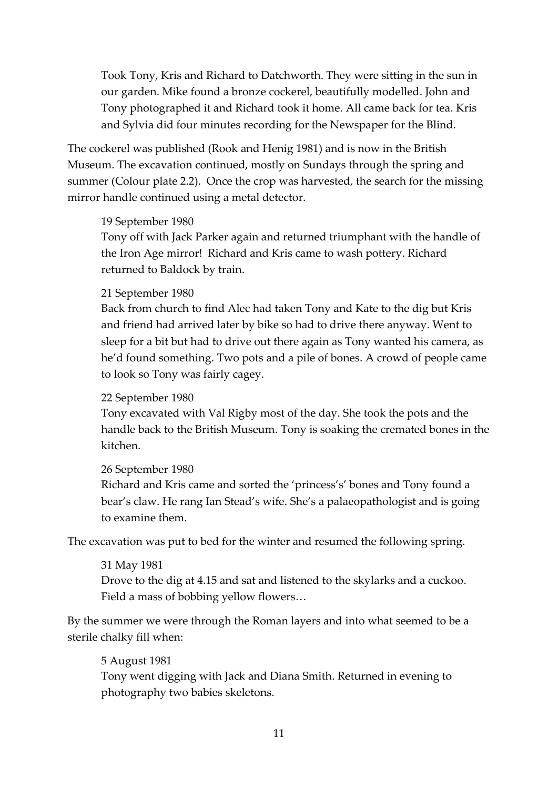Took Tony, Kris and Richard to Datchworth. They were sitting in the sun in our garden. Mike found a bronze cockerel, beautifully modelled. John and Tony photographed it and Richard took it home. All came back for tea. Kris and Sylvia did four minutes recording for the Newspaper for the Blind.

The cockerel was published (Rook and Henig 1981) and is now in the British Museum. The excavation continued, mostly on Sundays through the spring and summer (Colour plate 2.2). Once the crop was harvested, the search for the missing mirror handle continued using a metal detector.

#### 19 September 1980

Tony off with Jack Parker again and returned triumphant with the handle of the Iron Age mirror! Richard and Kris came to wash pottery. Richard returned to Baldock by train.

#### 21 September 1980

Back from church to find Alec had taken Tony and Kate to the dig but Kris and friend had arrived later by bike so had to drive there anyway. Went to sleep for a bit but had to drive out there again as Tony wanted his camera, as he'd found something. Two pots and a pile of bones. A crowd of people came to look so Tony was fairly cagey.

#### 22 September 1980

Tony excavated with Val Rigby most of the day. She took the pots and the handle back to the British Museum. Tony is soaking the cremated bones in the kitchen.

# 26 September 1980

Richard and Kris came and sorted the 'princess's' bones and Tony found a bear's claw. He rang Ian Stead's wife. She's a palaeopathologist and is going to examine them.

The excavation was put to bed for the winter and resumed the following spring.

# 31 May 1981 Drove to the dig at 4.15 and sat and listened to the skylarks and a cuckoo. Field a mass of bobbing yellow flowers…

By the summer we were through the Roman layers and into what seemed to be a sterile chalky fill when:

# 5 August 1981 Tony went digging with Jack and Diana Smith. Returned in evening to photography two babies skeletons.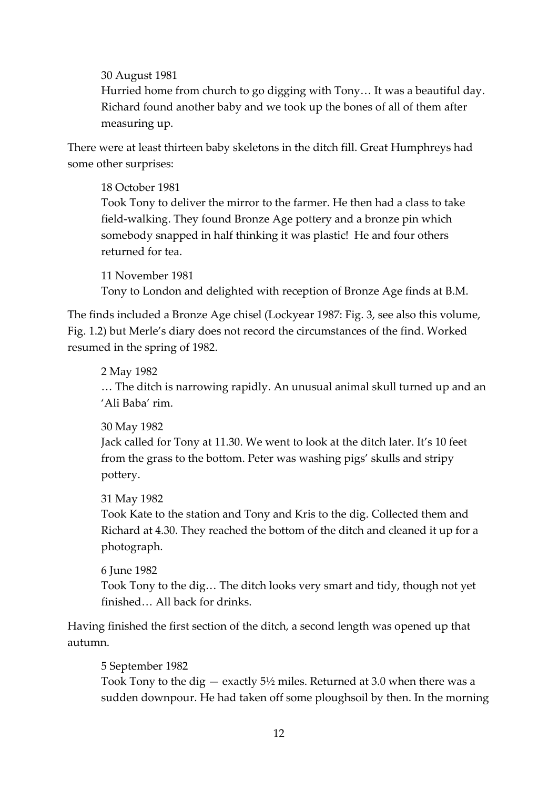30 August 1981

Hurried home from church to go digging with Tony… It was a beautiful day. Richard found another baby and we took up the bones of all of them after measuring up.

There were at least thirteen baby skeletons in the ditch fill. Great Humphreys had some other surprises:

18 October 1981 Took Tony to deliver the mirror to the farmer. He then had a class to take field-walking. They found Bronze Age pottery and a bronze pin which somebody snapped in half thinking it was plastic! He and four others returned for tea.

11 November 1981 Tony to London and delighted with reception of Bronze Age finds at B.M.

The finds included a Bronze Age chisel (Lockyear 1987: Fig. 3, see also this volume, Fig. 1.2) but Merle's diary does not record the circumstances of the find. Worked resumed in the spring of 1982.

2 May 1982

… The ditch is narrowing rapidly. An unusual animal skull turned up and an 'Ali Baba' rim.

30 May 1982

Jack called for Tony at 11.30. We went to look at the ditch later. It's 10 feet from the grass to the bottom. Peter was washing pigs' skulls and stripy pottery.

31 May 1982

Took Kate to the station and Tony and Kris to the dig. Collected them and Richard at 4.30. They reached the bottom of the ditch and cleaned it up for a photograph.

6 June 1982 Took Tony to the dig… The ditch looks very smart and tidy, though not yet finished… All back for drinks.

Having finished the first section of the ditch, a second length was opened up that autumn.

5 September 1982

Took Tony to the dig — exactly 5½ miles. Returned at 3.0 when there was a sudden downpour. He had taken off some ploughsoil by then. In the morning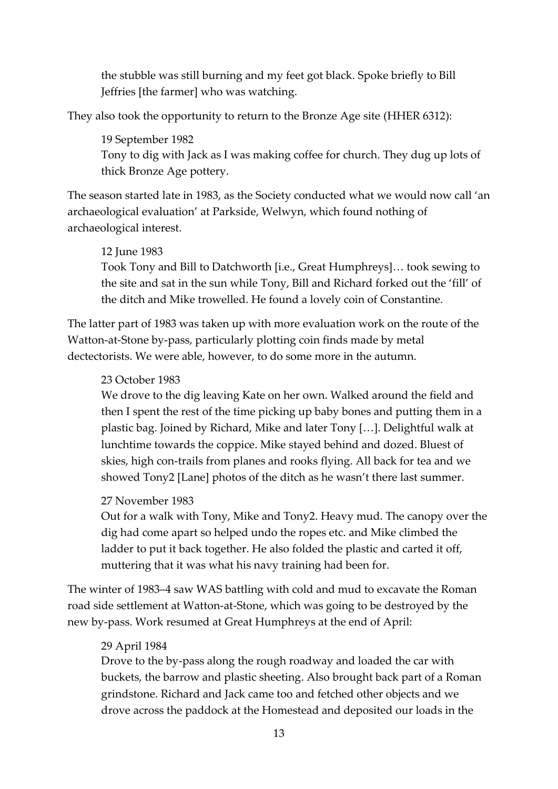the stubble was still burning and my feet got black. Spoke briefly to Bill Jeffries [the farmer] who was watching.

They also took the opportunity to return to the Bronze Age site (HHER 6312):

19 September 1982 Tony to dig with Jack as I was making coffee for church. They dug up lots of thick Bronze Age pottery.

The season started late in 1983, as the Society conducted what we would now call 'an archaeological evaluation' at Parkside, Welwyn, which found nothing of archaeological interest.

#### 12 June 1983

Took Tony and Bill to Datchworth [i.e., Great Humphreys]… took sewing to the site and sat in the sun while Tony, Bill and Richard forked out the 'fill' of the ditch and Mike trowelled. He found a lovely coin of Constantine.

The latter part of 1983 was taken up with more evaluation work on the route of the Watton-at-Stone by-pass, particularly plotting coin finds made by metal dectectorists. We were able, however, to do some more in the autumn.

#### 23 October 1983

We drove to the dig leaving Kate on her own. Walked around the field and then I spent the rest of the time picking up baby bones and putting them in a plastic bag. Joined by Richard, Mike and later Tony […]. Delightful walk at lunchtime towards the coppice. Mike stayed behind and dozed. Bluest of skies, high con-trails from planes and rooks flying. All back for tea and we showed Tony2 [Lane] photos of the ditch as he wasn't there last summer.

#### 27 November 1983

Out for a walk with Tony, Mike and Tony2. Heavy mud. The canopy over the dig had come apart so helped undo the ropes etc. and Mike climbed the ladder to put it back together. He also folded the plastic and carted it off, muttering that it was what his navy training had been for.

The winter of 1983–4 saw WAS battling with cold and mud to excavate the Roman road side settlement at Watton-at-Stone, which was going to be destroyed by the new by-pass. Work resumed at Great Humphreys at the end of April:

#### 29 April 1984

Drove to the by-pass along the rough roadway and loaded the car with buckets, the barrow and plastic sheeting. Also brought back part of a Roman grindstone. Richard and Jack came too and fetched other objects and we drove across the paddock at the Homestead and deposited our loads in the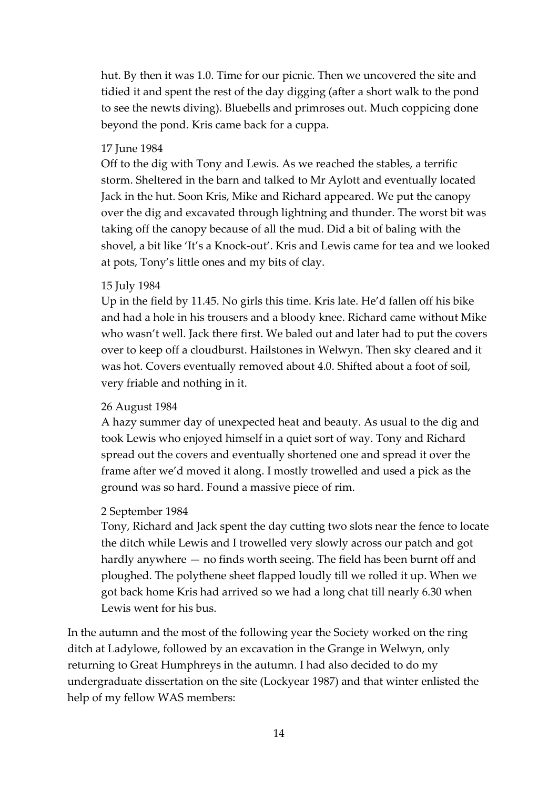hut. By then it was 1.0. Time for our picnic. Then we uncovered the site and tidied it and spent the rest of the day digging (after a short walk to the pond to see the newts diving). Bluebells and primroses out. Much coppicing done beyond the pond. Kris came back for a cuppa.

#### 17 June 1984

Off to the dig with Tony and Lewis. As we reached the stables, a terrific storm. Sheltered in the barn and talked to Mr Aylott and eventually located Jack in the hut. Soon Kris, Mike and Richard appeared. We put the canopy over the dig and excavated through lightning and thunder. The worst bit was taking off the canopy because of all the mud. Did a bit of baling with the shovel, a bit like 'It's a Knock-out'. Kris and Lewis came for tea and we looked at pots, Tony's little ones and my bits of clay.

#### 15 July 1984

Up in the field by 11.45. No girls this time. Kris late. He'd fallen off his bike and had a hole in his trousers and a bloody knee. Richard came without Mike who wasn't well. Jack there first. We baled out and later had to put the covers over to keep off a cloudburst. Hailstones in Welwyn. Then sky cleared and it was hot. Covers eventually removed about 4.0. Shifted about a foot of soil, very friable and nothing in it.

# 26 August 1984

A hazy summer day of unexpected heat and beauty. As usual to the dig and took Lewis who enjoyed himself in a quiet sort of way. Tony and Richard spread out the covers and eventually shortened one and spread it over the frame after we'd moved it along. I mostly trowelled and used a pick as the ground was so hard. Found a massive piece of rim.

#### 2 September 1984

Tony, Richard and Jack spent the day cutting two slots near the fence to locate the ditch while Lewis and I trowelled very slowly across our patch and got hardly anywhere — no finds worth seeing. The field has been burnt off and ploughed. The polythene sheet flapped loudly till we rolled it up. When we got back home Kris had arrived so we had a long chat till nearly 6.30 when Lewis went for his bus.

In the autumn and the most of the following year the Society worked on the ring ditch at Ladylowe, followed by an excavation in the Grange in Welwyn, only returning to Great Humphreys in the autumn. I had also decided to do my undergraduate dissertation on the site (Lockyear 1987) and that winter enlisted the help of my fellow WAS members: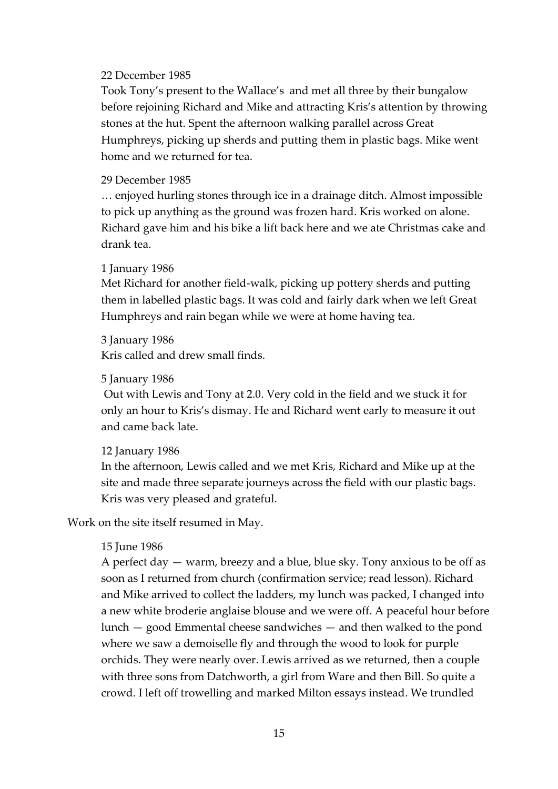#### 22 December 1985

Took Tony's present to the Wallace's and met all three by their bungalow before rejoining Richard and Mike and attracting Kris's attention by throwing stones at the hut. Spent the afternoon walking parallel across Great Humphreys, picking up sherds and putting them in plastic bags. Mike went home and we returned for tea.

#### 29 December 1985

… enjoyed hurling stones through ice in a drainage ditch. Almost impossible to pick up anything as the ground was frozen hard. Kris worked on alone. Richard gave him and his bike a lift back here and we ate Christmas cake and drank tea.

#### 1 January 1986

Met Richard for another field-walk, picking up pottery sherds and putting them in labelled plastic bags. It was cold and fairly dark when we left Great Humphreys and rain began while we were at home having tea.

3 January 1986 Kris called and drew small finds.

#### 5 January 1986

Out with Lewis and Tony at 2.0. Very cold in the field and we stuck it for only an hour to Kris's dismay. He and Richard went early to measure it out and came back late.

#### 12 January 1986

In the afternoon, Lewis called and we met Kris, Richard and Mike up at the site and made three separate journeys across the field with our plastic bags. Kris was very pleased and grateful.

Work on the site itself resumed in May.

#### 15 June 1986

A perfect day — warm, breezy and a blue, blue sky. Tony anxious to be off as soon as I returned from church (confirmation service; read lesson). Richard and Mike arrived to collect the ladders, my lunch was packed, I changed into a new white broderie anglaise blouse and we were off. A peaceful hour before lunch — good Emmental cheese sandwiches — and then walked to the pond where we saw a demoiselle fly and through the wood to look for purple orchids. They were nearly over. Lewis arrived as we returned, then a couple with three sons from Datchworth, a girl from Ware and then Bill. So quite a crowd. I left off trowelling and marked Milton essays instead. We trundled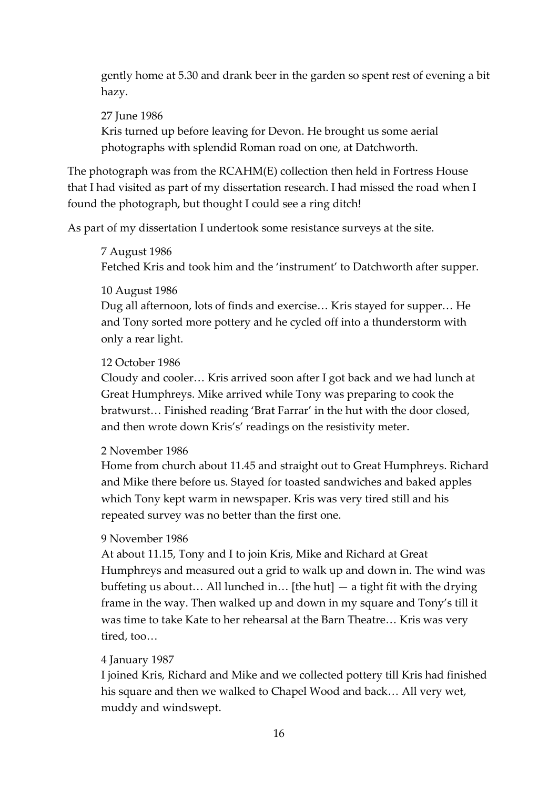gently home at 5.30 and drank beer in the garden so spent rest of evening a bit hazy.

#### 27 June 1986

Kris turned up before leaving for Devon. He brought us some aerial photographs with splendid Roman road on one, at Datchworth.

The photograph was from the RCAHM(E) collection then held in Fortress House that I had visited as part of my dissertation research. I had missed the road when I found the photograph, but thought I could see a ring ditch!

As part of my dissertation I undertook some resistance surveys at the site.

#### 7 August 1986

Fetched Kris and took him and the 'instrument' to Datchworth after supper.

#### 10 August 1986

Dug all afternoon, lots of finds and exercise… Kris stayed for supper… He and Tony sorted more pottery and he cycled off into a thunderstorm with only a rear light.

#### 12 October 1986

Cloudy and cooler… Kris arrived soon after I got back and we had lunch at Great Humphreys. Mike arrived while Tony was preparing to cook the bratwurst… Finished reading 'Brat Farrar' in the hut with the door closed, and then wrote down Kris's' readings on the resistivity meter.

#### 2 November 1986

Home from church about 11.45 and straight out to Great Humphreys. Richard and Mike there before us. Stayed for toasted sandwiches and baked apples which Tony kept warm in newspaper. Kris was very tired still and his repeated survey was no better than the first one.

#### 9 November 1986

At about 11.15, Tony and I to join Kris, Mike and Richard at Great Humphreys and measured out a grid to walk up and down in. The wind was buffeting us about… All lunched in… [the hut] — a tight fit with the drying frame in the way. Then walked up and down in my square and Tony's till it was time to take Kate to her rehearsal at the Barn Theatre… Kris was very tired, too…

#### 4 January 1987

I joined Kris, Richard and Mike and we collected pottery till Kris had finished his square and then we walked to Chapel Wood and back… All very wet, muddy and windswept.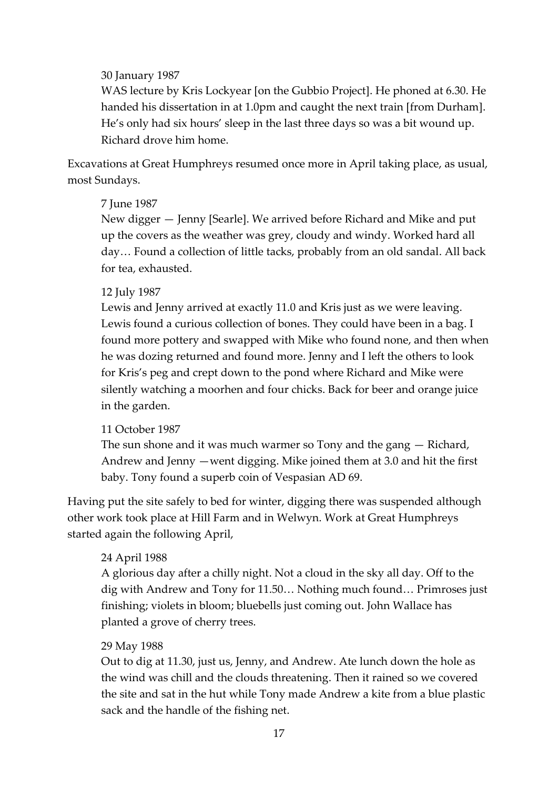#### 30 January 1987

WAS lecture by Kris Lockyear [on the Gubbio Project]. He phoned at 6.30. He handed his dissertation in at 1.0pm and caught the next train [from Durham]. He's only had six hours' sleep in the last three days so was a bit wound up. Richard drove him home.

Excavations at Great Humphreys resumed once more in April taking place, as usual, most Sundays.

#### 7 June 1987

New digger — Jenny [Searle]. We arrived before Richard and Mike and put up the covers as the weather was grey, cloudy and windy. Worked hard all day… Found a collection of little tacks, probably from an old sandal. All back for tea, exhausted.

#### 12 July 1987

Lewis and Jenny arrived at exactly 11.0 and Kris just as we were leaving. Lewis found a curious collection of bones. They could have been in a bag. I found more pottery and swapped with Mike who found none, and then when he was dozing returned and found more. Jenny and I left the others to look for Kris's peg and crept down to the pond where Richard and Mike were silently watching a moorhen and four chicks. Back for beer and orange juice in the garden.

# 11 October 1987

The sun shone and it was much warmer so Tony and the gang — Richard, Andrew and Jenny —went digging. Mike joined them at 3.0 and hit the first baby. Tony found a superb coin of Vespasian AD 69.

Having put the site safely to bed for winter, digging there was suspended although other work took place at Hill Farm and in Welwyn. Work at Great Humphreys started again the following April,

# 24 April 1988

A glorious day after a chilly night. Not a cloud in the sky all day. Off to the dig with Andrew and Tony for 11.50… Nothing much found… Primroses just finishing; violets in bloom; bluebells just coming out. John Wallace has planted a grove of cherry trees.

#### 29 May 1988

Out to dig at 11.30, just us, Jenny, and Andrew. Ate lunch down the hole as the wind was chill and the clouds threatening. Then it rained so we covered the site and sat in the hut while Tony made Andrew a kite from a blue plastic sack and the handle of the fishing net.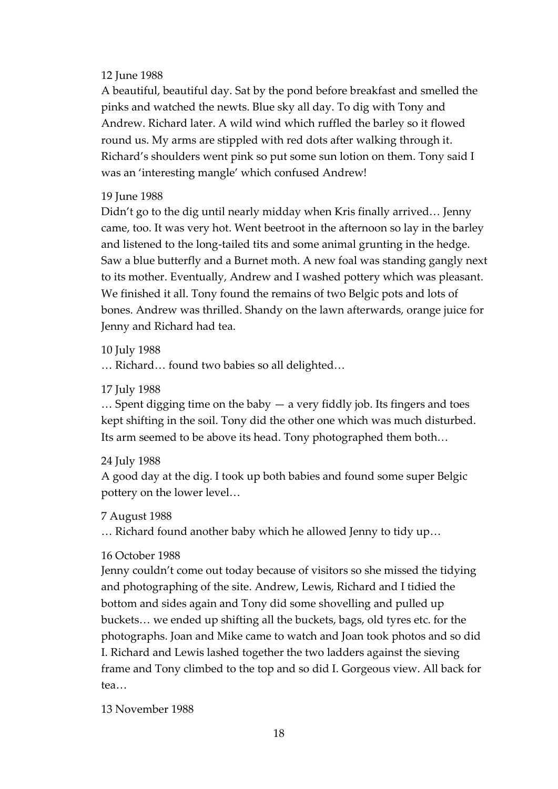#### 12 June 1988

A beautiful, beautiful day. Sat by the pond before breakfast and smelled the pinks and watched the newts. Blue sky all day. To dig with Tony and Andrew. Richard later. A wild wind which ruffled the barley so it flowed round us. My arms are stippled with red dots after walking through it. Richard's shoulders went pink so put some sun lotion on them. Tony said I was an 'interesting mangle' which confused Andrew!

#### 19 June 1988

Didn't go to the dig until nearly midday when Kris finally arrived… Jenny came, too. It was very hot. Went beetroot in the afternoon so lay in the barley and listened to the long-tailed tits and some animal grunting in the hedge. Saw a blue butterfly and a Burnet moth. A new foal was standing gangly next to its mother. Eventually, Andrew and I washed pottery which was pleasant. We finished it all. Tony found the remains of two Belgic pots and lots of bones. Andrew was thrilled. Shandy on the lawn afterwards, orange juice for Jenny and Richard had tea.

10 July 1988

… Richard… found two babies so all delighted…

17 July 1988

 $\ldots$  Spent digging time on the baby  $-$  a very fiddly job. Its fingers and toes kept shifting in the soil. Tony did the other one which was much disturbed. Its arm seemed to be above its head. Tony photographed them both…

24 July 1988

A good day at the dig. I took up both babies and found some super Belgic pottery on the lower level…

7 August 1988

… Richard found another baby which he allowed Jenny to tidy up…

# 16 October 1988

Jenny couldn't come out today because of visitors so she missed the tidying and photographing of the site. Andrew, Lewis, Richard and I tidied the bottom and sides again and Tony did some shovelling and pulled up buckets… we ended up shifting all the buckets, bags, old tyres etc. for the photographs. Joan and Mike came to watch and Joan took photos and so did I. Richard and Lewis lashed together the two ladders against the sieving frame and Tony climbed to the top and so did I. Gorgeous view. All back for tea…

13 November 1988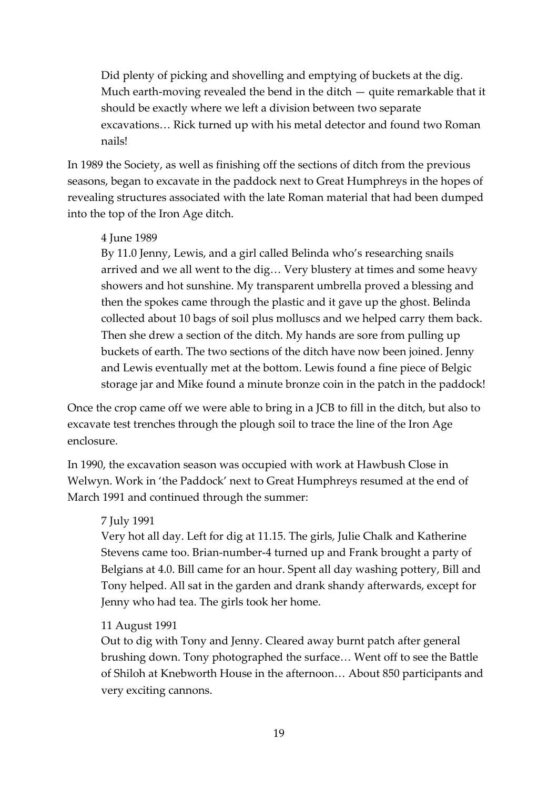Did plenty of picking and shovelling and emptying of buckets at the dig. Much earth-moving revealed the bend in the ditch — quite remarkable that it should be exactly where we left a division between two separate excavations… Rick turned up with his metal detector and found two Roman nails!

In 1989 the Society, as well as finishing off the sections of ditch from the previous seasons, began to excavate in the paddock next to Great Humphreys in the hopes of revealing structures associated with the late Roman material that had been dumped into the top of the Iron Age ditch.

#### 4 June 1989

By 11.0 Jenny, Lewis, and a girl called Belinda who's researching snails arrived and we all went to the dig… Very blustery at times and some heavy showers and hot sunshine. My transparent umbrella proved a blessing and then the spokes came through the plastic and it gave up the ghost. Belinda collected about 10 bags of soil plus molluscs and we helped carry them back. Then she drew a section of the ditch. My hands are sore from pulling up buckets of earth. The two sections of the ditch have now been joined. Jenny and Lewis eventually met at the bottom. Lewis found a fine piece of Belgic storage jar and Mike found a minute bronze coin in the patch in the paddock!

Once the crop came off we were able to bring in a JCB to fill in the ditch, but also to excavate test trenches through the plough soil to trace the line of the Iron Age enclosure.

In 1990, the excavation season was occupied with work at Hawbush Close in Welwyn. Work in 'the Paddock' next to Great Humphreys resumed at the end of March 1991 and continued through the summer:

#### 7 July 1991

Very hot all day. Left for dig at 11.15. The girls, Julie Chalk and Katherine Stevens came too. Brian-number-4 turned up and Frank brought a party of Belgians at 4.0. Bill came for an hour. Spent all day washing pottery, Bill and Tony helped. All sat in the garden and drank shandy afterwards, except for Jenny who had tea. The girls took her home.

# 11 August 1991

Out to dig with Tony and Jenny. Cleared away burnt patch after general brushing down. Tony photographed the surface… Went off to see the Battle of Shiloh at Knebworth House in the afternoon… About 850 participants and very exciting cannons.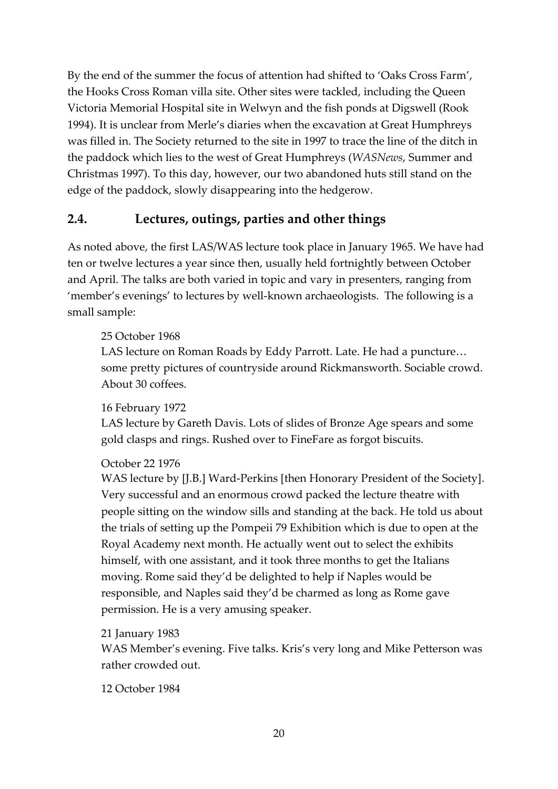By the end of the summer the focus of attention had shifted to 'Oaks Cross Farm', the Hooks Cross Roman villa site. Other sites were tackled, including the Queen Victoria Memorial Hospital site in Welwyn and the fish ponds at Digswell (Rook 1994). It is unclear from Merle's diaries when the excavation at Great Humphreys was filled in. The Society returned to the site in 1997 to trace the line of the ditch in the paddock which lies to the west of Great Humphreys (*WASNews*, Summer and Christmas 1997). To this day, however, our two abandoned huts still stand on the edge of the paddock, slowly disappearing into the hedgerow.

# **2.4. Lectures, outings, parties and other things**

As noted above, the first LAS/WAS lecture took place in January 1965. We have had ten or twelve lectures a year since then, usually held fortnightly between October and April. The talks are both varied in topic and vary in presenters, ranging from 'member's evenings' to lectures by well-known archaeologists. The following is a small sample:

# 25 October 1968

LAS lecture on Roman Roads by Eddy Parrott. Late. He had a puncture… some pretty pictures of countryside around Rickmansworth. Sociable crowd. About 30 coffees.

#### 16 February 1972

LAS lecture by Gareth Davis. Lots of slides of Bronze Age spears and some gold clasps and rings. Rushed over to FineFare as forgot biscuits.

# October 22 1976

WAS lecture by [J.B.] Ward-Perkins [then Honorary President of the Society]. Very successful and an enormous crowd packed the lecture theatre with people sitting on the window sills and standing at the back. He told us about the trials of setting up the Pompeii 79 Exhibition which is due to open at the Royal Academy next month. He actually went out to select the exhibits himself, with one assistant, and it took three months to get the Italians moving. Rome said they'd be delighted to help if Naples would be responsible, and Naples said they'd be charmed as long as Rome gave permission. He is a very amusing speaker.

#### 21 January 1983

WAS Member's evening. Five talks. Kris's very long and Mike Petterson was rather crowded out.

12 October 1984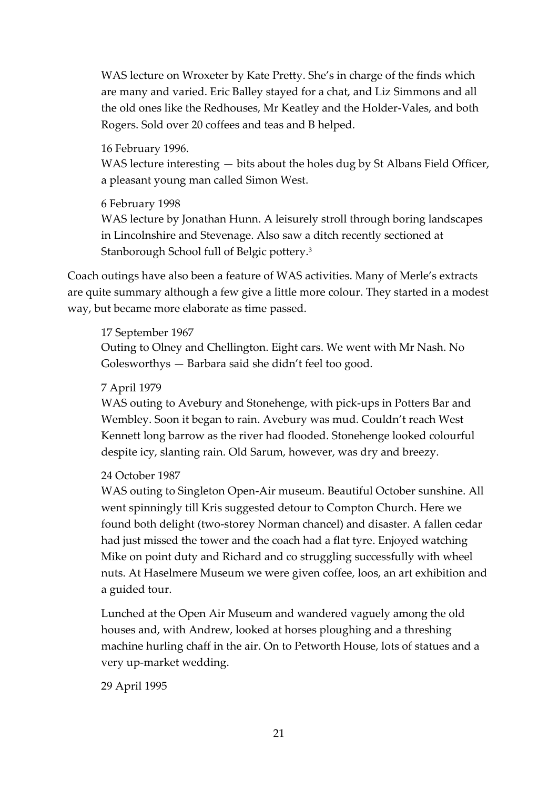WAS lecture on Wroxeter by Kate Pretty. She's in charge of the finds which are many and varied. Eric Balley stayed for a chat, and Liz Simmons and all the old ones like the Redhouses, Mr Keatley and the Holder-Vales, and both Rogers. Sold over 20 coffees and teas and B helped.

16 February 1996.

WAS lecture interesting  $-$  bits about the holes dug by St Albans Field Officer, a pleasant young man called Simon West.

#### 6 February 1998

WAS lecture by Jonathan Hunn. A leisurely stroll through boring landscapes in Lincolnshire and Stevenage. Also saw a ditch recently sectioned at Stanborough School full of Belgic pottery.<sup>3</sup>

Coach outings have also been a feature of WAS activities. Many of Merle's extracts are quite summary although a few give a little more colour. They started in a modest way, but became more elaborate as time passed.

#### 17 September 1967

Outing to Olney and Chellington. Eight cars. We went with Mr Nash. No Golesworthys — Barbara said she didn't feel too good.

#### 7 April 1979

WAS outing to Avebury and Stonehenge, with pick-ups in Potters Bar and Wembley. Soon it began to rain. Avebury was mud. Couldn't reach West Kennett long barrow as the river had flooded. Stonehenge looked colourful despite icy, slanting rain. Old Sarum, however, was dry and breezy.

# 24 October 1987

WAS outing to Singleton Open-Air museum. Beautiful October sunshine. All went spinningly till Kris suggested detour to Compton Church. Here we found both delight (two-storey Norman chancel) and disaster. A fallen cedar had just missed the tower and the coach had a flat tyre. Enjoyed watching Mike on point duty and Richard and co struggling successfully with wheel nuts. At Haselmere Museum we were given coffee, loos, an art exhibition and a guided tour.

Lunched at the Open Air Museum and wandered vaguely among the old houses and, with Andrew, looked at horses ploughing and a threshing machine hurling chaff in the air. On to Petworth House, lots of statues and a very up-market wedding.

29 April 1995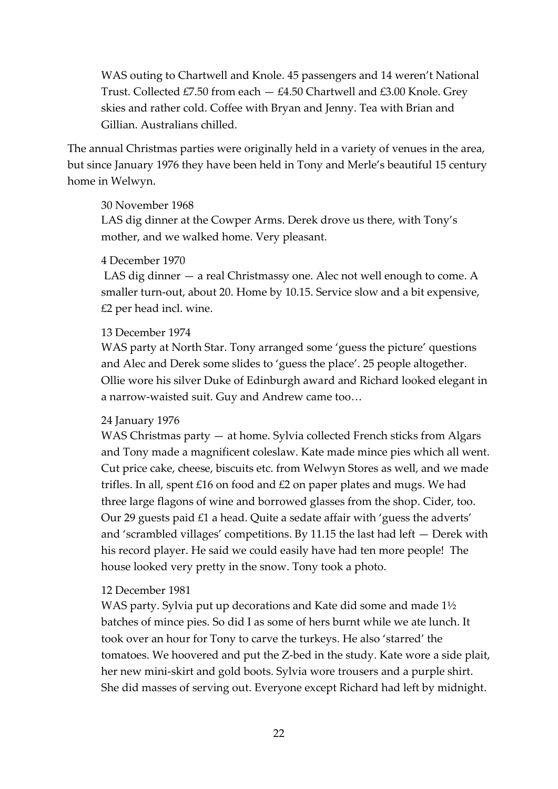WAS outing to Chartwell and Knole. 45 passengers and 14 weren't National Trust. Collected £7.50 from each  $-$  £4.50 Chartwell and £3.00 Knole. Grey skies and rather cold. Coffee with Bryan and Jenny. Tea with Brian and Gillian. Australians chilled.

The annual Christmas parties were originally held in a variety of venues in the area, but since January 1976 they have been held in Tony and Merle's beautiful 15 century home in Welwyn.

#### 30 November 1968

LAS dig dinner at the Cowper Arms. Derek drove us there, with Tony's mother, and we walked home. Very pleasant.

#### 4 December 1970

LAS dig dinner — a real Christmassy one. Alec not well enough to come. A smaller turn-out, about 20. Home by 10.15. Service slow and a bit expensive, £2 per head incl. wine.

#### 13 December 1974

WAS party at North Star. Tony arranged some 'guess the picture' questions and Alec and Derek some slides to 'guess the place'. 25 people altogether. Ollie wore his silver Duke of Edinburgh award and Richard looked elegant in a narrow-waisted suit. Guy and Andrew came too…

#### 24 January 1976

WAS Christmas party — at home. Sylvia collected French sticks from Algars and Tony made a magnificent coleslaw. Kate made mince pies which all went. Cut price cake, cheese, biscuits etc. from Welwyn Stores as well, and we made trifles. In all, spent £16 on food and £2 on paper plates and mugs. We had three large flagons of wine and borrowed glasses from the shop. Cider, too. Our 29 guests paid £1 a head. Quite a sedate affair with 'guess the adverts' and 'scrambled villages' competitions. By 11.15 the last had left — Derek with his record player. He said we could easily have had ten more people! The house looked very pretty in the snow. Tony took a photo.

#### 12 December 1981

WAS party. Sylvia put up decorations and Kate did some and made 1½ batches of mince pies. So did I as some of hers burnt while we ate lunch. It took over an hour for Tony to carve the turkeys. He also 'starred' the tomatoes. We hoovered and put the Z-bed in the study. Kate wore a side plait, her new mini-skirt and gold boots. Sylvia wore trousers and a purple shirt. She did masses of serving out. Everyone except Richard had left by midnight.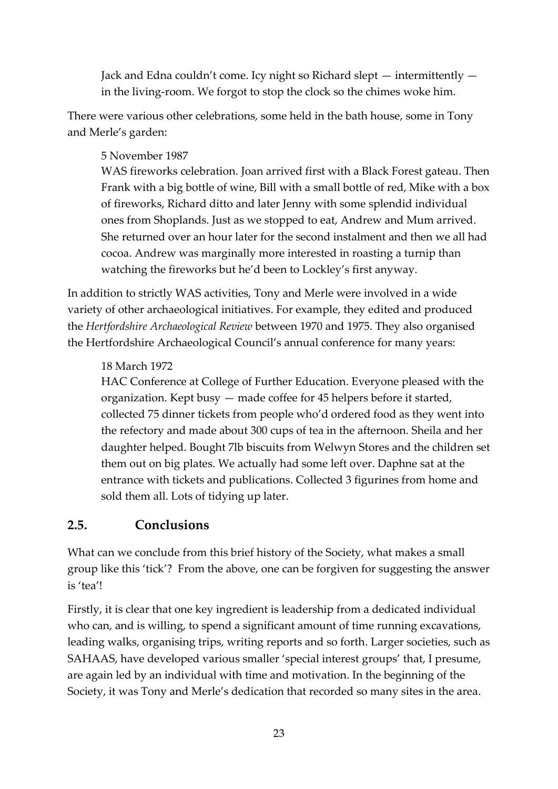Jack and Edna couldn't come. Icy night so Richard slept — intermittently in the living-room. We forgot to stop the clock so the chimes woke him.

There were various other celebrations, some held in the bath house, some in Tony and Merle's garden:

# 5 November 1987

WAS fireworks celebration. Joan arrived first with a Black Forest gateau. Then Frank with a big bottle of wine, Bill with a small bottle of red, Mike with a box of fireworks, Richard ditto and later Jenny with some splendid individual ones from Shoplands. Just as we stopped to eat, Andrew and Mum arrived. She returned over an hour later for the second instalment and then we all had cocoa. Andrew was marginally more interested in roasting a turnip than watching the fireworks but he'd been to Lockley's first anyway.

In addition to strictly WAS activities, Tony and Merle were involved in a wide variety of other archaeological initiatives. For example, they edited and produced the *Hertfordshire Archaeological Review* between 1970 and 1975. They also organised the Hertfordshire Archaeological Council's annual conference for many years:

# 18 March 1972

HAC Conference at College of Further Education. Everyone pleased with the organization. Kept busy — made coffee for 45 helpers before it started, collected 75 dinner tickets from people who'd ordered food as they went into the refectory and made about 300 cups of tea in the afternoon. Sheila and her daughter helped. Bought 7lb biscuits from Welwyn Stores and the children set them out on big plates. We actually had some left over. Daphne sat at the entrance with tickets and publications. Collected 3 figurines from home and sold them all. Lots of tidying up later.

# **2.5. Conclusions**

What can we conclude from this brief history of the Society, what makes a small group like this 'tick'? From the above, one can be forgiven for suggesting the answer is 'tea'!

Firstly, it is clear that one key ingredient is leadership from a dedicated individual who can, and is willing, to spend a significant amount of time running excavations, leading walks, organising trips, writing reports and so forth. Larger societies, such as SAHAAS, have developed various smaller 'special interest groups' that, I presume, are again led by an individual with time and motivation. In the beginning of the Society, it was Tony and Merle's dedication that recorded so many sites in the area.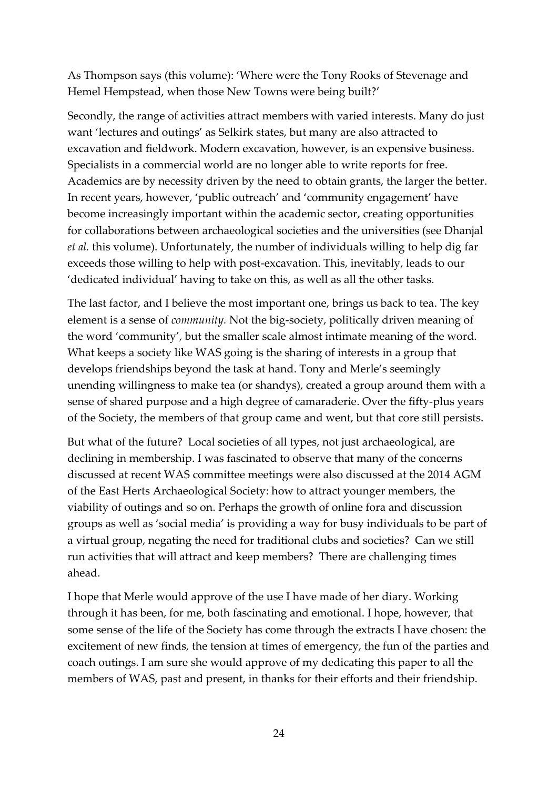As Thompson says (this volume): 'Where were the Tony Rooks of Stevenage and Hemel Hempstead, when those New Towns were being built?'

Secondly, the range of activities attract members with varied interests. Many do just want 'lectures and outings' as Selkirk states, but many are also attracted to excavation and fieldwork. Modern excavation, however, is an expensive business. Specialists in a commercial world are no longer able to write reports for free. Academics are by necessity driven by the need to obtain grants, the larger the better. In recent years, however, 'public outreach' and 'community engagement' have become increasingly important within the academic sector, creating opportunities for collaborations between archaeological societies and the universities (see Dhanjal *et al.* this volume). Unfortunately, the number of individuals willing to help dig far exceeds those willing to help with post-excavation. This, inevitably, leads to our 'dedicated individual' having to take on this, as well as all the other tasks.

The last factor, and I believe the most important one, brings us back to tea. The key element is a sense of *community.* Not the big-society, politically driven meaning of the word 'community', but the smaller scale almost intimate meaning of the word. What keeps a society like WAS going is the sharing of interests in a group that develops friendships beyond the task at hand. Tony and Merle's seemingly unending willingness to make tea (or shandys), created a group around them with a sense of shared purpose and a high degree of camaraderie. Over the fifty-plus years of the Society, the members of that group came and went, but that core still persists.

But what of the future? Local societies of all types, not just archaeological, are declining in membership. I was fascinated to observe that many of the concerns discussed at recent WAS committee meetings were also discussed at the 2014 AGM of the East Herts Archaeological Society: how to attract younger members, the viability of outings and so on. Perhaps the growth of online fora and discussion groups as well as 'social media' is providing a way for busy individuals to be part of a virtual group, negating the need for traditional clubs and societies? Can we still run activities that will attract and keep members? There are challenging times ahead.

I hope that Merle would approve of the use I have made of her diary. Working through it has been, for me, both fascinating and emotional. I hope, however, that some sense of the life of the Society has come through the extracts I have chosen: the excitement of new finds, the tension at times of emergency, the fun of the parties and coach outings. I am sure she would approve of my dedicating this paper to all the members of WAS, past and present, in thanks for their efforts and their friendship.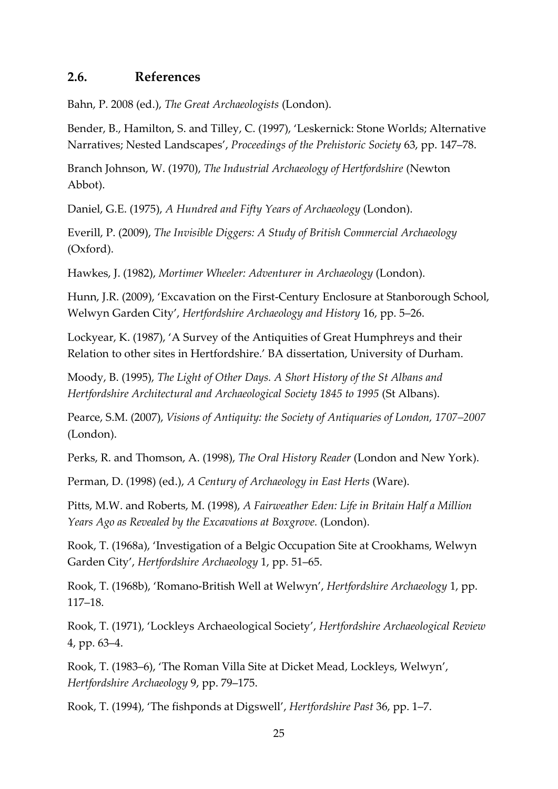# **2.6. References**

Bahn, P. 2008 (ed.), *The Great Archaeologists* (London).

Bender, B., Hamilton, S. and Tilley, C. (1997), 'Leskernick: Stone Worlds; Alternative Narratives; Nested Landscapes', *Proceedings of the Prehistoric Society* 63, pp. 147–78.

Branch Johnson, W. (1970), *The Industrial Archaeology of Hertfordshire* (Newton Abbot).

Daniel, G.E. (1975), *A Hundred and Fifty Years of Archaeology* (London).

Everill, P. (2009), *The Invisible Diggers: A Study of British Commercial Archaeology* (Oxford).

Hawkes, J. (1982), *Mortimer Wheeler: Adventurer in Archaeology* (London).

Hunn, J.R. (2009), 'Excavation on the First-Century Enclosure at Stanborough School, Welwyn Garden City', *Hertfordshire Archaeology and History* 16, pp. 5–26.

Lockyear, K. (1987), 'A Survey of the Antiquities of Great Humphreys and their Relation to other sites in Hertfordshire.' BA dissertation, University of Durham.

Moody, B. (1995), *The Light of Other Days. A Short History of the St Albans and Hertfordshire Architectural and Archaeological Society 1845 to 1995* (St Albans).

Pearce, S.M. (2007), *Visions of Antiquity: the Society of Antiquaries of London, 1707–2007* (London).

Perks, R. and Thomson, A. (1998), *The Oral History Reader* (London and New York).

Perman, D. (1998) (ed.), *A Century of Archaeology in East Herts* (Ware).

Pitts, M.W. and Roberts, M. (1998), *A Fairweather Eden: Life in Britain Half a Million Years Ago as Revealed by the Excavations at Boxgrove.* (London).

Rook, T. (1968a), 'Investigation of a Belgic Occupation Site at Crookhams, Welwyn Garden City', *Hertfordshire Archaeology* 1, pp. 51–65.

Rook, T. (1968b), 'Romano-British Well at Welwyn', *Hertfordshire Archaeology* 1, pp. 117–18.

Rook, T. (1971), 'Lockleys Archaeological Society', *Hertfordshire Archaeological Review* 4, pp. 63–4.

Rook, T. (1983–6), 'The Roman Villa Site at Dicket Mead, Lockleys, Welwyn', *Hertfordshire Archaeology* 9, pp. 79–175.

Rook, T. (1994), 'The fishponds at Digswell', *Hertfordshire Past* 36, pp. 1–7.